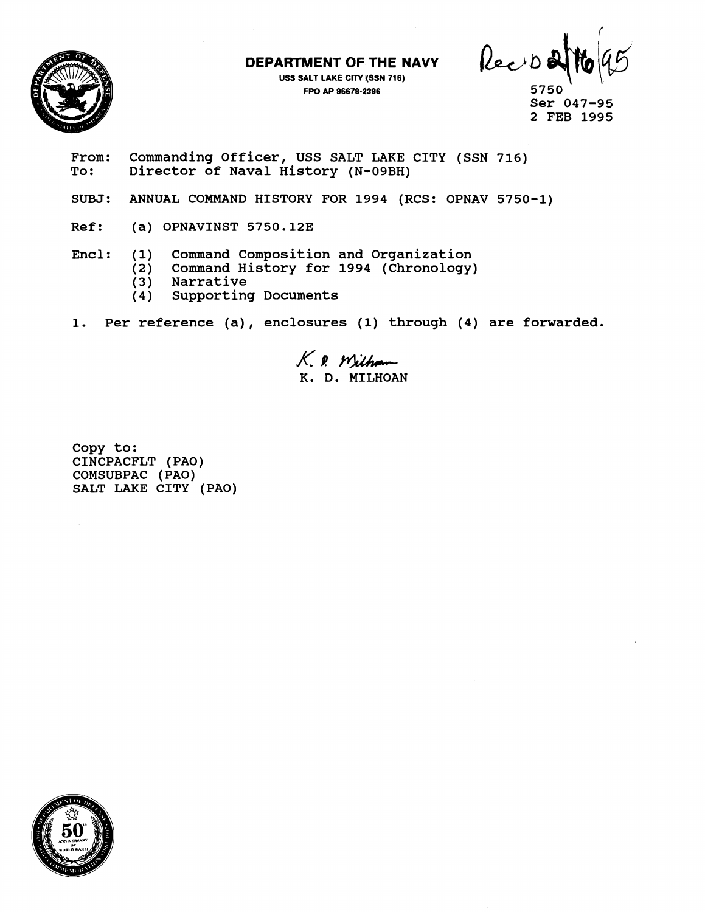**DEPARTMENT OF THE NAVY** 



**USS SALT LAKE CITY (SSN 716)**  FPO AP 96678-2396

Recion

**5750 Ser 047-95 2 FEB 1995** 

- From: Commanding Officer, USS SALT LAKE CITY (SSN 716)<br>To: Director of Naval History (N-09BH) **To: Director of Naval History (N-09BH)**
- **SUBJ: ANNUAL COMMAND HISTORY FOR 1994 (RCS: OPNAV 5750-1)**
- **Ref: (a) OPNAVINST 5750.123**
- **Encl: (1) Command Composition and Organization** 
	- **(2) Command History for 1994 (Chronology)**
	- **(3) Narrative**
	- **(4) Supporting Documents**
- **1. Per reference (a)** , **enclosures (1) through (4) are forwarded.**

K. 9. Wilham **K. D. MILHOAN** 

**Copy to: CINCPACFLT (PAO) COMSUBPAC (PAO) SALT LAKE CITY (PAO)** 

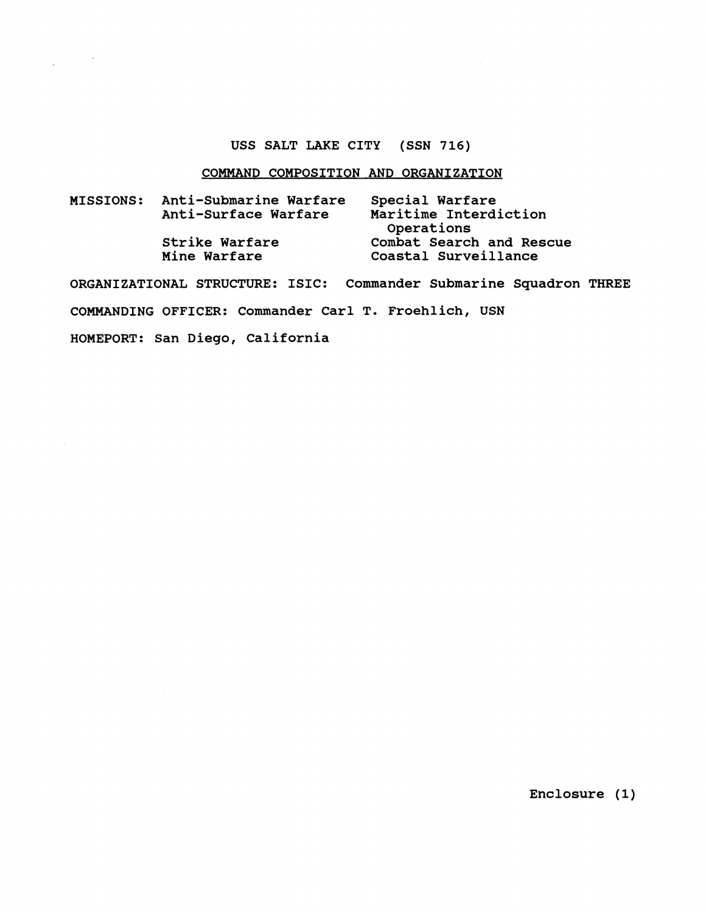## **USS SALT LAKE CITY (SSN 716)**

## **COMMAND COMPOSITION AND ORGANIZATION**

| <b>MISSIONS:</b> | Anti-Submarine Warfare<br>Anti-Surface Warfare | Special Warfare<br>Maritime Interdiction<br>Operations |
|------------------|------------------------------------------------|--------------------------------------------------------|
|                  | Strike Warfare<br>Mine Warfare                 | Combat Search and Rescue<br>Coastal Surveillance       |

**ORGANIZATIONAL STRUCTURE: ISIC: Commander Submarine Squadron THREE COMMANDING OFFICER: Commander Carl T. Froehlich, USN HOMEPORT: San Diego, California** 

**Enclosure (1)**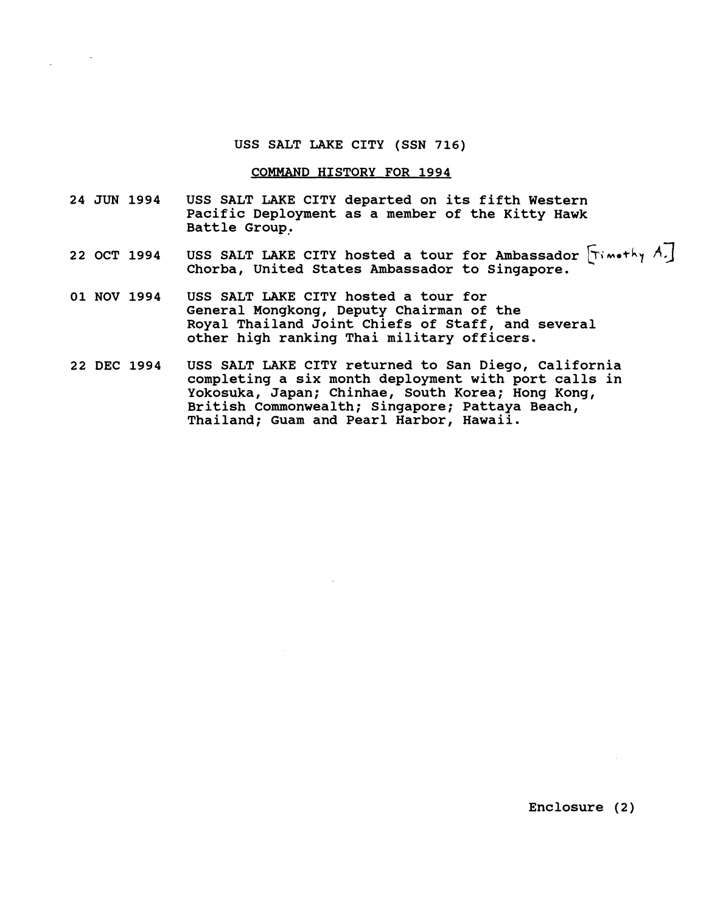### **USS SALT LAKE CITY (SSN 716)**

#### **COMMAND HISTORY FOR 1994**

- **24 JUN 1994 USS SALT LAKE CITY departed on its fifth Western Pacific Deployment as a member of the Kitty Hawk Battle Group,**
- 22 OCT 1994 USS SALT LAKE CITY hosted a tour for Ambassador  $\lceil$ Timothy A.] **Chorba, United States Ambassador to Singapore.**
- **01 NOV 1994 USS SALT LAKE CITY hosted a tour for General Mongkong, Deputy Chairman of the Royal Thailand Joint Chiefs of Staff, and several other high ranking Thai military officers.**
- **22 DEC 1994 USS SALT LAKE CITY returned to San Diego, California completing a six month deployment with port calls in Yokosuka, Japan; Chinbae, South Korea; Hong Kong, British Commonwealth; Singapore; Pattaya Beach, Thailand; Guam and Pearl Harbor, Hawaii.**